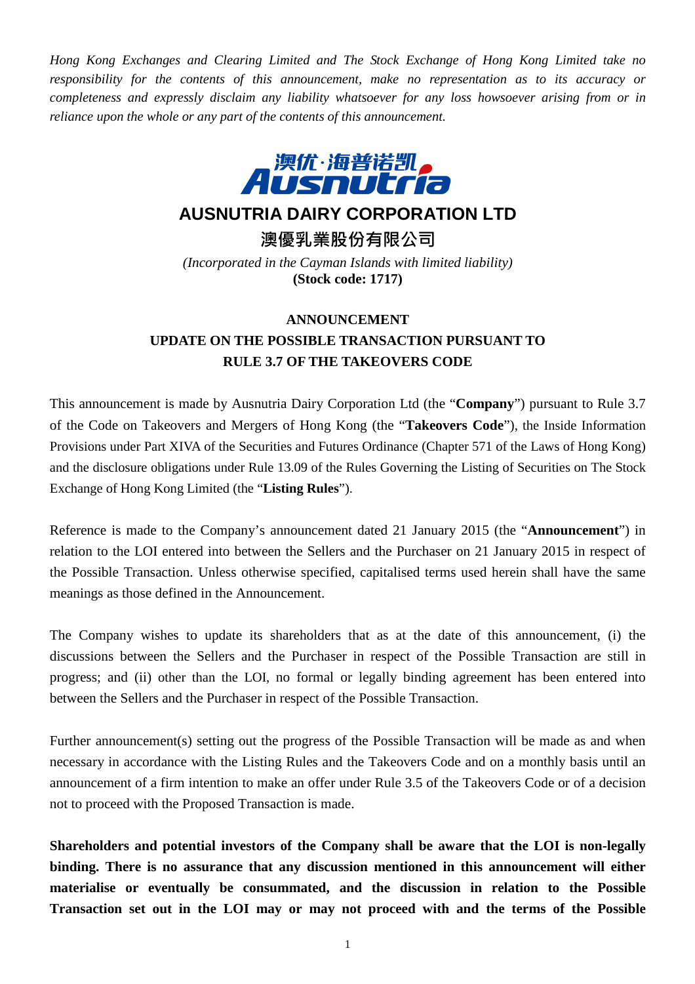*Hong Kong Exchanges and Clearing Limited and The Stock Exchange of Hong Kong Limited take no responsibility for the contents of this announcement, make no representation as to its accuracy or completeness and expressly disclaim any liability whatsoever for any loss howsoever arising from or in reliance upon the whole or any part of the contents of this announcement.* 



## **AUSNUTRIA DAIRY CORPORATION LTD**

澳優乳業股份有限公司

*(Incorporated in the Cayman Islands with limited liability)*  **(Stock code: 1717)** 

## **ANNOUNCEMENT UPDATE ON THE POSSIBLE TRANSACTION PURSUANT TO RULE 3.7 OF THE TAKEOVERS CODE**

This announcement is made by Ausnutria Dairy Corporation Ltd (the "**Company**") pursuant to Rule 3.7 of the Code on Takeovers and Mergers of Hong Kong (the "**Takeovers Code**"), the Inside Information Provisions under Part XIVA of the Securities and Futures Ordinance (Chapter 571 of the Laws of Hong Kong) and the disclosure obligations under Rule 13.09 of the Rules Governing the Listing of Securities on The Stock Exchange of Hong Kong Limited (the "**Listing Rules**").

Reference is made to the Company's announcement dated 21 January 2015 (the "**Announcement**") in relation to the LOI entered into between the Sellers and the Purchaser on 21 January 2015 in respect of the Possible Transaction. Unless otherwise specified, capitalised terms used herein shall have the same meanings as those defined in the Announcement.

The Company wishes to update its shareholders that as at the date of this announcement, (i) the discussions between the Sellers and the Purchaser in respect of the Possible Transaction are still in progress; and (ii) other than the LOI, no formal or legally binding agreement has been entered into between the Sellers and the Purchaser in respect of the Possible Transaction.

Further announcement(s) setting out the progress of the Possible Transaction will be made as and when necessary in accordance with the Listing Rules and the Takeovers Code and on a monthly basis until an announcement of a firm intention to make an offer under Rule 3.5 of the Takeovers Code or of a decision not to proceed with the Proposed Transaction is made.

**Shareholders and potential investors of the Company shall be aware that the LOI is non-legally binding. There is no assurance that any discussion mentioned in this announcement will either materialise or eventually be consummated, and the discussion in relation to the Possible Transaction set out in the LOI may or may not proceed with and the terms of the Possible**